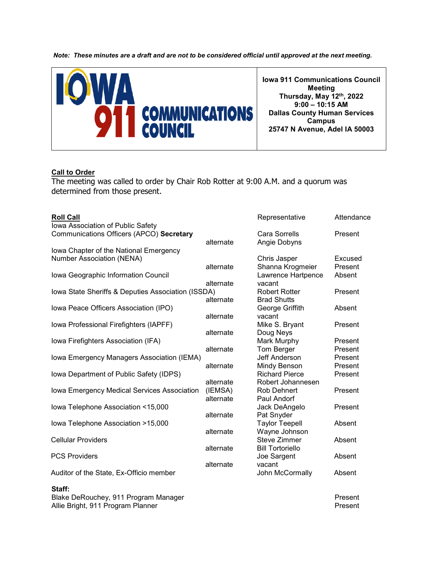*Note: These minutes are a draft and are not to be considered official until approved at the next meeting.*



#### **Call to Order**

The meeting was called to order by Chair Rob Rotter at 9:00 A.M. and a quorum was determined from those present.

| <b>Roll Call</b>                                   |           | Representative          | Attendance |
|----------------------------------------------------|-----------|-------------------------|------------|
| Iowa Association of Public Safety                  |           |                         |            |
| Communications Officers (APCO) Secretary           |           | <b>Cara Sorrells</b>    | Present    |
|                                                    | alternate | Angie Dobyns            |            |
| Iowa Chapter of the National Emergency             |           |                         |            |
| <b>Number Association (NENA)</b>                   |           | Chris Jasper            | Excused    |
|                                                    | alternate | Shanna Krogmeier        | Present    |
| Iowa Geographic Information Council                |           | Lawrence Hartpence      | Absent     |
|                                                    | alternate | vacant                  |            |
| Iowa State Sheriffs & Deputies Association (ISSDA) |           | <b>Robert Rotter</b>    | Present    |
|                                                    | alternate | <b>Brad Shutts</b>      |            |
| Iowa Peace Officers Association (IPO)              |           | George Griffith         | Absent     |
|                                                    | alternate | vacant                  |            |
| Iowa Professional Firefighters (IAPFF)             |           | Mike S. Bryant          | Present    |
|                                                    | alternate | Doug Neys               |            |
| Iowa Firefighters Association (IFA)                |           | Mark Murphy             | Present    |
|                                                    | alternate | Tom Berger              | Present    |
| Iowa Emergency Managers Association (IEMA)         |           | Jeff Anderson           | Present    |
|                                                    | alternate | Mindy Benson            | Present    |
| Iowa Department of Public Safety (IDPS)            |           | <b>Richard Pierce</b>   | Present    |
|                                                    | alternate | Robert Johannesen       |            |
| Iowa Emergency Medical Services Association        | (IEMSA)   | <b>Rob Dehnert</b>      | Present    |
|                                                    | alternate | Paul Andorf             |            |
| Iowa Telephone Association <15,000                 |           | Jack DeAngelo           | Present    |
|                                                    | alternate | Pat Snyder              |            |
| Iowa Telephone Association >15,000                 |           | <b>Taylor Teepell</b>   | Absent     |
|                                                    | alternate | Wayne Johnson           |            |
| <b>Cellular Providers</b>                          |           | <b>Steve Zimmer</b>     | Absent     |
|                                                    | alternate | <b>Bill Tortoriello</b> |            |
| <b>PCS Providers</b>                               |           | Joe Sargent             | Absent     |
|                                                    | alternate | vacant                  |            |
| Auditor of the State, Ex-Officio member            |           | John McCormally         | Absent     |
| Staff:                                             |           |                         |            |
|                                                    |           |                         | <b>D.</b>  |

Blake DeRouchey, 911 Program Manager Present Allie Bright, 911 Program Planner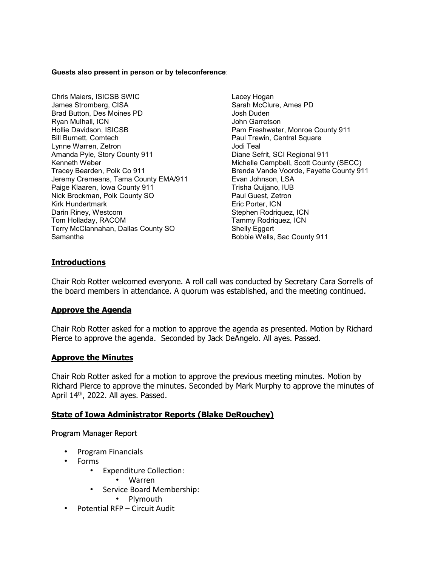#### **Guests also present in person or by teleconference**:

- Chris Maiers, ISICSB SWIC **Lacey Hogan** James Stromberg, CISA Sarah McClure, Ames PD Brad Button, Des Moines PD Josh Duden Ryan Mulhall, ICN<br>Hollie Davidson, ISICSB Bill Burnett, Comtech Paul Trewin, Central Square Lynne Warren, Zetron Jodi Teal Amanda Pyle, Story County 911 **Diane Sefrit, SCI Regional 911** Kenneth Weber Michelle Campbell, Scott County (SECC)<br>Tracey Bearden, Polk Co 911 Michelle Campbell, Scott County 91 Jeremy Cremeans, Tama County EMA/911 Evan Johnson, LSA Paige Klaaren, Iowa County 911 Trisha Quijano, IUB Nick Brockman, Polk County SO Kirk Hundertmark Eric Porter, ICN Tom Holladay, RACOM Terry McClannahan, Dallas County SO Shelly Eggert Samantha Bobbie Wells, Sac County 911
	- Pam Freshwater, Monroe County 911 Brenda Vande Voorde, Fayette County 911 Stephen Rodriquez, ICN<br>Tammy Rodriquez, ICN

## **Introductions**

Chair Rob Rotter welcomed everyone. A roll call was conducted by Secretary Cara Sorrells of the board members in attendance. A quorum was established, and the meeting continued.

## **Approve the Agenda**

Chair Rob Rotter asked for a motion to approve the agenda as presented. Motion by Richard Pierce to approve the agenda. Seconded by Jack DeAngelo. All ayes. Passed.

## **Approve the Minutes**

Chair Rob Rotter asked for a motion to approve the previous meeting minutes. Motion by Richard Pierce to approve the minutes. Seconded by Mark Murphy to approve the minutes of April 14<sup>th</sup>, 2022. All ayes. Passed.

# **State of Iowa Administrator Reports (Blake DeRouchey)**

## Program Manager Report

- Program Financials
- Forms
	- Expenditure Collection:
		- Warren
	- Service Board Membership:
		- Plymouth
- Potential RFP Circuit Audit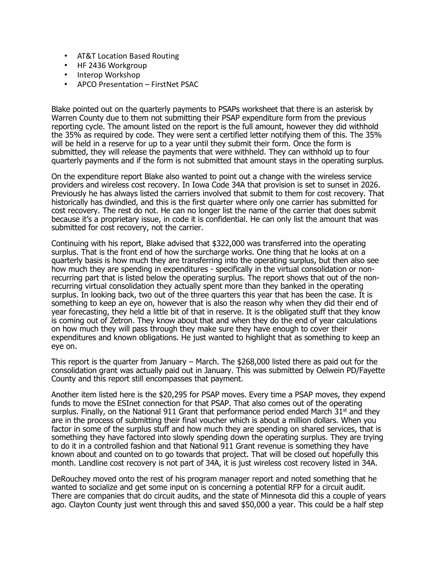- AT&T Location Based Routing
- HF 2436 Workgroup
- Interop Workshop
- APCO Presentation FirstNet PSAC

Blake pointed out on the quarterly payments to PSAPs worksheet that there is an asterisk by Warren County due to them not submitting their PSAP expenditure form from the previous reporting cycle. The amount listed on the report is the full amount, however they did withhold the 35% as required by code. They were sent a certified letter notifying them of this. The 35% will be held in a reserve for up to a year until they submit their form. Once the form is submitted, they will release the payments that were withheld. They can withhold up to four quarterly payments and if the form is not submitted that amount stays in the operating surplus.

On the expenditure report Blake also wanted to point out a change with the wireless service providers and wireless cost recovery. In Iowa Code 34A that provision is set to sunset in 2026. Previously he has always listed the carriers involved that submit to them for cost recovery. That historically has dwindled, and this is the first quarter where only one carrier has submitted for cost recovery. The rest do not. He can no longer list the name of the carrier that does submit because it's a proprietary issue, in code it is confidential. He can only list the amount that was submitted for cost recovery, not the carrier.

Continuing with his report, Blake advised that \$322,000 was transferred into the operating surplus. That is the front end of how the surcharge works. One thing that he looks at on a quarterly basis is how much they are transferring into the operating surplus, but then also see how much they are spending in expenditures - specifically in the virtual consolidation or nonrecurring part that is listed below the operating surplus. The report shows that out of the nonrecurring virtual consolidation they actually spent more than they banked in the operating surplus. In looking back, two out of the three quarters this year that has been the case. It is something to keep an eye on, however that is also the reason why when they did their end of year forecasting, they held a little bit of that in reserve. It is the obligated stuff that they know is coming out of Zetron. They know about that and when they do the end of year calculations on how much they will pass through they make sure they have enough to cover their expenditures and known obligations. He just wanted to highlight that as something to keep an eye on.

This report is the quarter from January – March. The \$268,000 listed there as paid out for the consolidation grant was actually paid out in January. This was submitted by Oelwein PD/Fayette County and this report still encompasses that payment.

Another item listed here is the \$20,295 for PSAP moves. Every time a PSAP moves, they expend funds to move the ESInet connection for that PSAP. That also comes out of the operating surplus. Finally, on the National 911 Grant that performance period ended March  $31^{st}$  and they are in the process of submitting their final voucher which is about a million dollars. When you factor in some of the surplus stuff and how much they are spending on shared services, that is something they have factored into slowly spending down the operating surplus. They are trying to do it in a controlled fashion and that National 911 Grant revenue is something they have known about and counted on to go towards that project. That will be closed out hopefully this month. Landline cost recovery is not part of 34A, it is just wireless cost recovery listed in 34A.

DeRouchey moved onto the rest of his program manager report and noted something that he wanted to socialize and get some input on is concerning a potential RFP for a circuit audit. There are companies that do circuit audits, and the state of Minnesota did this a couple of years ago. Clayton County just went through this and saved \$50,000 a year. This could be a half step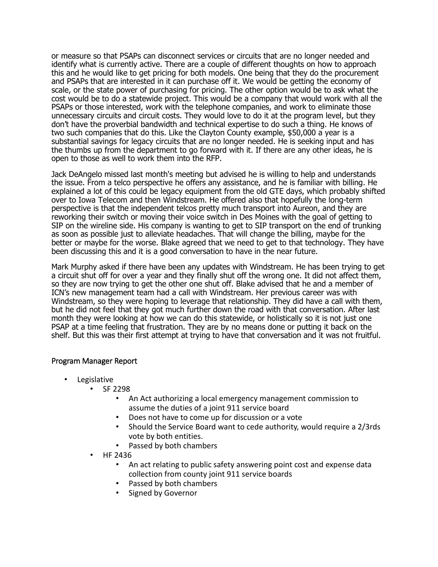or measure so that PSAPs can disconnect services or circuits that are no longer needed and identify what is currently active. There are a couple of different thoughts on how to approach this and he would like to get pricing for both models. One being that they do the procurement and PSAPs that are interested in it can purchase off it. We would be getting the economy of scale, or the state power of purchasing for pricing. The other option would be to ask what the cost would be to do a statewide project. This would be a company that would work with all the PSAPs or those interested, work with the telephone companies, and work to eliminate those unnecessary circuits and circuit costs. They would love to do it at the program level, but they don't have the proverbial bandwidth and technical expertise to do such a thing. He knows of two such companies that do this. Like the Clayton County example, \$50,000 a year is a substantial savings for legacy circuits that are no longer needed. He is seeking input and has the thumbs up from the department to go forward with it. If there are any other ideas, he is open to those as well to work them into the RFP.

Jack DeAngelo missed last month's meeting but advised he is willing to help and understands the issue. From a telco perspective he offers any assistance, and he is familiar with billing. He explained a lot of this could be legacy equipment from the old GTE days, which probably shifted over to Iowa Telecom and then Windstream. He offered also that hopefully the long-term perspective is that the independent telcos pretty much transport into Aureon, and they are reworking their switch or moving their voice switch in Des Moines with the goal of getting to SIP on the wireline side. His company is wanting to get to SIP transport on the end of trunking as soon as possible just to alleviate headaches. That will change the billing, maybe for the better or maybe for the worse. Blake agreed that we need to get to that technology. They have been discussing this and it is a good conversation to have in the near future.

Mark Murphy asked if there have been any updates with Windstream. He has been trying to get a circuit shut off for over a year and they finally shut off the wrong one. It did not affect them, so they are now trying to get the other one shut off. Blake advised that he and a member of ICN's new management team had a call with Windstream. Her previous career was with Windstream, so they were hoping to leverage that relationship. They did have a call with them, but he did not feel that they got much further down the road with that conversation. After last month they were looking at how we can do this statewide, or holistically so it is not just one PSAP at a time feeling that frustration. They are by no means done or putting it back on the shelf. But this was their first attempt at trying to have that conversation and it was not fruitful.

## Program Manager Report

- **Legislative** 
	- SF 2298
		- An Act authorizing a local emergency management commission to assume the duties of a joint 911 service board
		- Does not have to come up for discussion or a vote
		- Should the Service Board want to cede authority, would require a 2/3rds vote by both entities.
		- Passed by both chambers
	- HF 2436
		- An act relating to public safety answering point cost and expense data collection from county joint 911 service boards
		- Passed by both chambers
		- Signed by Governor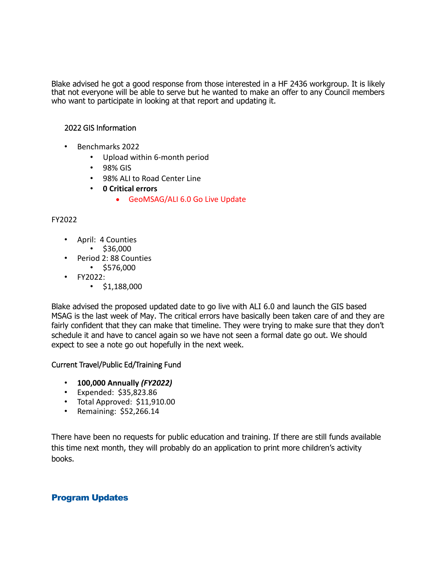Blake advised he got a good response from those interested in a HF 2436 workgroup. It is likely that not everyone will be able to serve but he wanted to make an offer to any Council members who want to participate in looking at that report and updating it.

## 2022 GIS Information

- Benchmarks 2022
	- Upload within 6-month period
	- 98% GIS
	- 98% ALI to Road Center Line
	- **0 Critical errors**
		- GeoMSAG/ALI 6.0 Go Live Update

## FY2022

- April: 4 Counties
	- $\cdot$  \$36,000
- Period 2: 88 Counties
	- $\cdot$  \$576,000
- FY2022:
	- $\cdot$  \$1,188,000

Blake advised the proposed updated date to go live with ALI 6.0 and launch the GIS based MSAG is the last week of May. The critical errors have basically been taken care of and they are fairly confident that they can make that timeline. They were trying to make sure that they don't schedule it and have to cancel again so we have not seen a formal date go out. We should expect to see a note go out hopefully in the next week.

# Current Travel/Public Ed/Training Fund

- **100,000 Annually** *(FY2022)*
- Expended: \$35,823.86
- Total Approved: \$11,910.00
- Remaining: \$52,266.14

There have been no requests for public education and training. If there are still funds available this time next month, they will probably do an application to print more children's activity books.

# Program Updates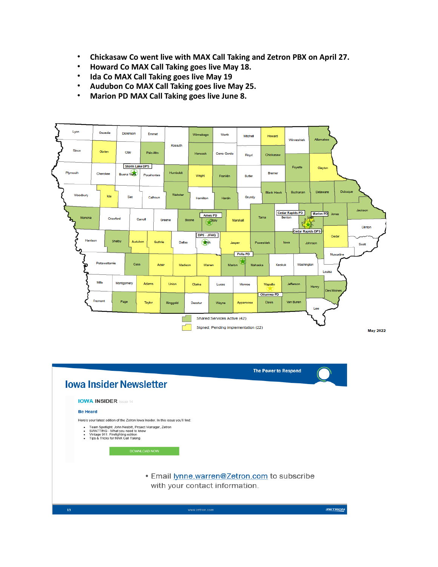- **Chickasaw Co went live with MAX Call Taking and Zetron PBX on April 27.**
- **Howard Co MAX Call Taking goes live May 18.**
- **Ida Co MAX Call Taking goes live May 19**
- **Audubon Co MAX Call Taking goes live May 25.**
- **Marion PD MAX Call Taking goes live June 8.**



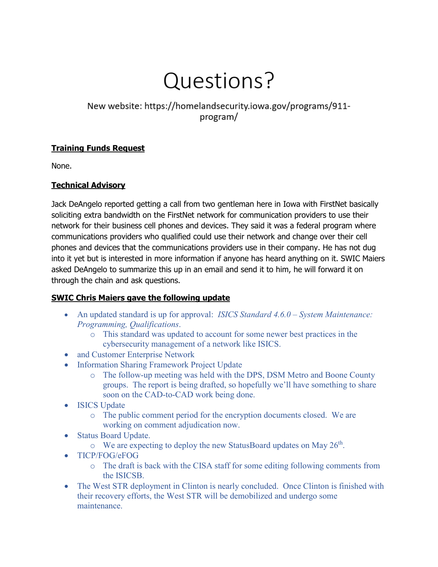# Questions?

New website: https://homelandsecurity.iowa.gov/programs/911program/

# **Training Funds Request**

None.

# **Technical Advisory**

Jack DeAngelo reported getting a call from two gentleman here in Iowa with FirstNet basically soliciting extra bandwidth on the FirstNet network for communication providers to use their network for their business cell phones and devices. They said it was a federal program where communications providers who qualified could use their network and change over their cell phones and devices that the communications providers use in their company. He has not dug into it yet but is interested in more information if anyone has heard anything on it. SWIC Maiers asked DeAngelo to summarize this up in an email and send it to him, he will forward it on through the chain and ask questions.

# **SWIC Chris Maiers gave the following update**

- An updated standard is up for approval: *ISICS Standard 4.6.0 – System Maintenance: Programming, Qualifications*.
	- o This standard was updated to account for some newer best practices in the cybersecurity management of a network like ISICS.
- and Customer Enterprise Network
- Information Sharing Framework Project Update
	- o The follow-up meeting was held with the DPS, DSM Metro and Boone County groups. The report is being drafted, so hopefully we'll have something to share soon on the CAD-to-CAD work being done.
- ISICS Update
	- o The public comment period for the encryption documents closed. We are working on comment adjudication now.
- Status Board Update.
	- $\circ$  We are expecting to deploy the new StatusBoard updates on May 26<sup>th</sup>.
- TICP/FOG/eFOG
	- o The draft is back with the CISA staff for some editing following comments from the ISICSB.
- The West STR deployment in Clinton is nearly concluded. Once Clinton is finished with their recovery efforts, the West STR will be demobilized and undergo some maintenance.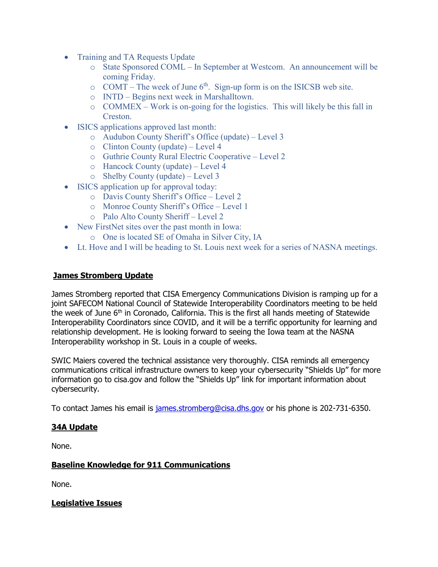- Training and TA Requests Update
	- o State Sponsored COML In September at Westcom. An announcement will be coming Friday.
	- $\circ$  COMT The week of June 6<sup>th</sup>. Sign-up form is on the ISICSB web site.
	- o INTD Begins next week in Marshalltown.
	- o COMMEX Work is on-going for the logistics. This will likely be this fall in Creston.
- ISICS applications approved last month:
	- o Audubon County Sheriff's Office (update) Level 3
	- o Clinton County (update) Level 4
	- o Guthrie County Rural Electric Cooperative Level 2
	- o Hancock County (update) Level 4
	- o Shelby County (update) Level 3
- ISICS application up for approval today:
	- o Davis County Sheriff's Office Level 2
	- o Monroe County Sheriff's Office Level 1
	- o Palo Alto County Sheriff Level 2
- New FirstNet sites over the past month in Iowa:
	- o One is located SE of Omaha in Silver City, IA
- Lt. Hove and I will be heading to St. Louis next week for a series of NASNA meetings.

# **James Stromberg Update**

James Stromberg reported that CISA Emergency Communications Division is ramping up for a joint SAFECOM National Council of Statewide Interoperability Coordinators meeting to be held the week of June 6<sup>th</sup> in Coronado, California. This is the first all hands meeting of Statewide Interoperability Coordinators since COVID, and it will be a terrific opportunity for learning and relationship development. He is looking forward to seeing the Iowa team at the NASNA Interoperability workshop in St. Louis in a couple of weeks.

SWIC Maiers covered the technical assistance very thoroughly. CISA reminds all emergency communications critical infrastructure owners to keep your cybersecurity "Shields Up" for more information go to cisa.gov and follow the "Shields Up" link for important information about cybersecurity.

To contact James his email is [james.stromberg@cisa.dhs.gov](mailto:james.stromberg@cisa.dhs.gov) or his phone is 202-731-6350.

# **34A Update**

None.

# **Baseline Knowledge for 911 Communications**

None.

**Legislative Issues**